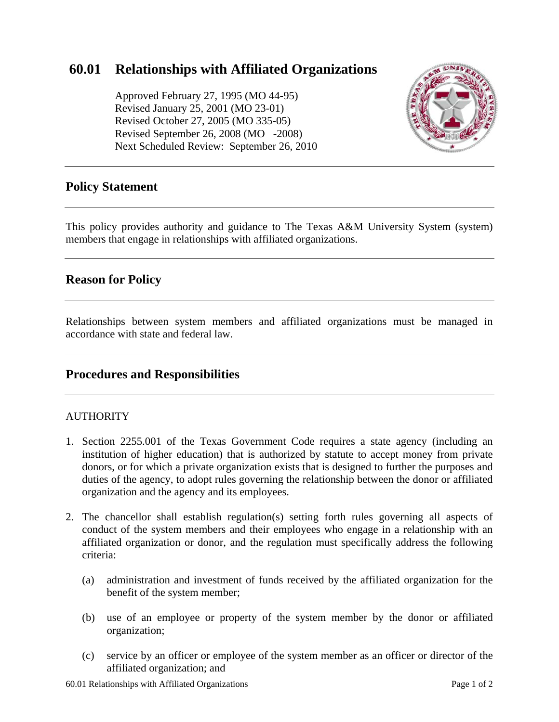# **60.01 Relationships with Affiliated Organizations**

 Approved February 27, 1995 (MO 44-95) Revised January 25, 2001 (MO 23-01) Revised October 27, 2005 (MO 335-05) Revised September 26, 2008 (MO -2008) Next Scheduled Review: September 26, 2010



## **Policy Statement**

This policy provides authority and guidance to The Texas A&M University System (system) members that engage in relationships with affiliated organizations.

## **Reason for Policy**

Relationships between system members and affiliated organizations must be managed in accordance with state and federal law.

## **Procedures and Responsibilities**

#### AUTHORITY

- 1. Section 2255.001 of the Texas Government Code requires a state agency (including an institution of higher education) that is authorized by statute to accept money from private donors, or for which a private organization exists that is designed to further the purposes and duties of the agency, to adopt rules governing the relationship between the donor or affiliated organization and the agency and its employees.
- 2. The chancellor shall establish regulation(s) setting forth rules governing all aspects of conduct of the system members and their employees who engage in a relationship with an affiliated organization or donor, and the regulation must specifically address the following criteria:
	- (a) administration and investment of funds received by the affiliated organization for the benefit of the system member;
	- (b) use of an employee or property of the system member by the donor or affiliated organization;
	- (c) service by an officer or employee of the system member as an officer or director of the affiliated organization; and